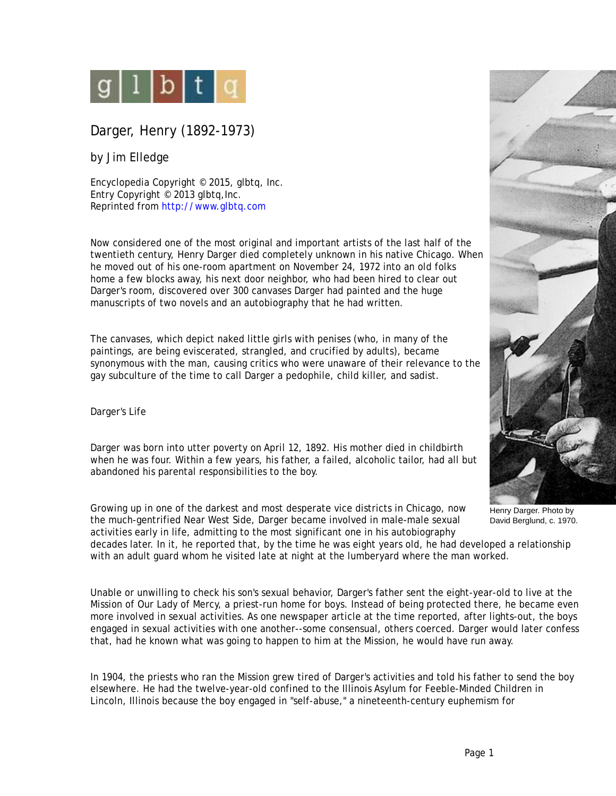

Darger, Henry (1892-1973)

by Jim Elledge

Encyclopedia Copyright © 2015, glbtq, Inc. Entry Copyright © 2013 glbtq, Inc. Reprinted from<http://www.glbtq.com>

Now considered one of the most original and important artists of the last half of the twentieth century, Henry Darger died completely unknown in his native Chicago. When he moved out of his one-room apartment on November 24, 1972 into an old folks home a few blocks away, his next door neighbor, who had been hired to clear out Darger's room, discovered over 300 canvases Darger had painted and the huge manuscripts of two novels and an autobiography that he had written.

The canvases, which depict naked little girls with penises (who, in many of the paintings, are being eviscerated, strangled, and crucified by adults), became synonymous with the man, causing critics who were unaware of their relevance to the gay subculture of the time to call Darger a pedophile, child killer, and sadist.

Darger's Life

Darger was born into utter poverty on April 12, 1892. His mother died in childbirth when he was four. Within a few years, his father, a failed, alcoholic tailor, had all but abandoned his parental responsibilities to the boy.

Growing up in one of the darkest and most desperate vice districts in Chicago, now the much-gentrified Near West Side, Darger became involved in male-male sexual activities early in life, admitting to the most significant one in his autobiography

decades later. In it, he reported that, by the time he was eight years old, he had developed a relationship with an adult guard whom he visited late at night at the lumberyard where the man worked.

Unable or unwilling to check his son's sexual behavior, Darger's father sent the eight-year-old to live at the Mission of Our Lady of Mercy, a priest-run home for boys. Instead of being protected there, he became even more involved in sexual activities. As one newspaper article at the time reported, after lights-out, the boys engaged in sexual activities with one another--some consensual, others coerced. Darger would later confess that, had he known what was going to happen to him at the Mission, he would have run away.

In 1904, the priests who ran the Mission grew tired of Darger's activities and told his father to send the boy elsewhere. He had the twelve-year-old confined to the Illinois Asylum for Feeble-Minded Children in Lincoln, Illinois because the boy engaged in "self-abuse," a nineteenth-century euphemism for



Henry Darger. Photo by David Berglund, c. 1970.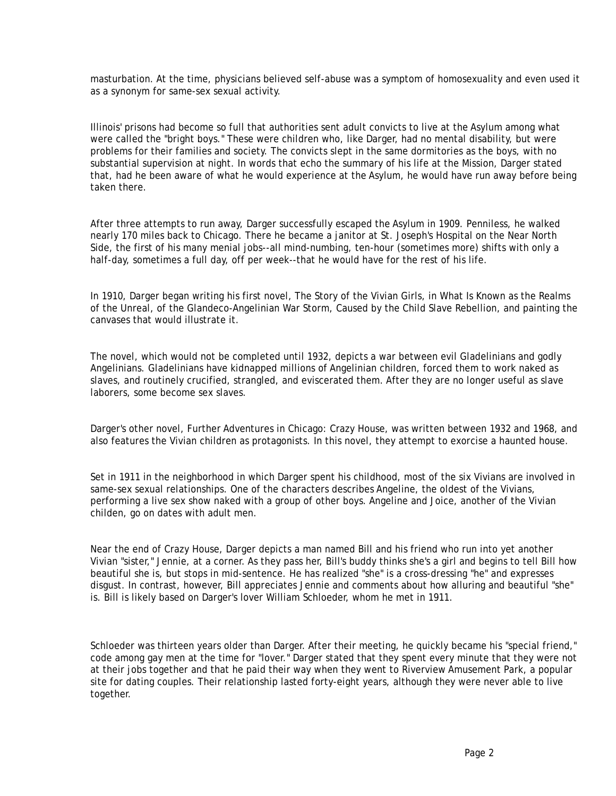masturbation. At the time, physicians believed self-abuse was a symptom of homosexuality and even used it as a synonym for same-sex sexual activity.

Illinois' prisons had become so full that authorities sent adult convicts to live at the Asylum among what were called the "bright boys." These were children who, like Darger, had no mental disability, but were problems for their families and society. The convicts slept in the same dormitories as the boys, with no substantial supervision at night. In words that echo the summary of his life at the Mission, Darger stated that, had he been aware of what he would experience at the Asylum, he would have run away before being taken there.

After three attempts to run away, Darger successfully escaped the Asylum in 1909. Penniless, he walked nearly 170 miles back to Chicago. There he became a janitor at St. Joseph's Hospital on the Near North Side, the first of his many menial jobs--all mind-numbing, ten-hour (sometimes more) shifts with only a half-day, sometimes a full day, off per week--that he would have for the rest of his life.

In 1910, Darger began writing his first novel, The Story of the Vivian Girls, in What Is Known as the Realms of the Unreal, of the Glandeco-Angelinian War Storm, Caused by the Child Slave Rebellion, and painting the canvases that would illustrate it.

The novel, which would not be completed until 1932, depicts a war between evil Gladelinians and godly Angelinians. Gladelinians have kidnapped millions of Angelinian children, forced them to work naked as slaves, and routinely crucified, strangled, and eviscerated them. After they are no longer useful as slave laborers, some become sex slaves.

Darger's other novel, Further Adventures in Chicago: Crazy House, was written between 1932 and 1968, and also features the Vivian children as protagonists. In this novel, they attempt to exorcise a haunted house.

Set in 1911 in the neighborhood in which Darger spent his childhood, most of the six Vivians are involved in same-sex sexual relationships. One of the characters describes Angeline, the oldest of the Vivians, performing a live sex show naked with a group of other boys. Angeline and Joice, another of the Vivian childen, go on dates with adult men.

Near the end of Crazy House, Darger depicts a man named Bill and his friend who run into yet another Vivian "sister," Jennie, at a corner. As they pass her, Bill's buddy thinks she's a girl and begins to tell Bill how beautiful she is, but stops in mid-sentence. He has realized "she" is a cross-dressing "he" and expresses disgust. In contrast, however, Bill appreciates Jennie and comments about how alluring and beautiful "she" is. Bill is likely based on Darger's lover William Schloeder, whom he met in 1911.

Schloeder was thirteen years older than Darger. After their meeting, he quickly became his "special friend," code among gay men at the time for "lover." Darger stated that they spent every minute that they were not at their jobs together and that he paid their way when they went to Riverview Amusement Park, a popular site for dating couples. Their relationship lasted forty-eight years, although they were never able to live together.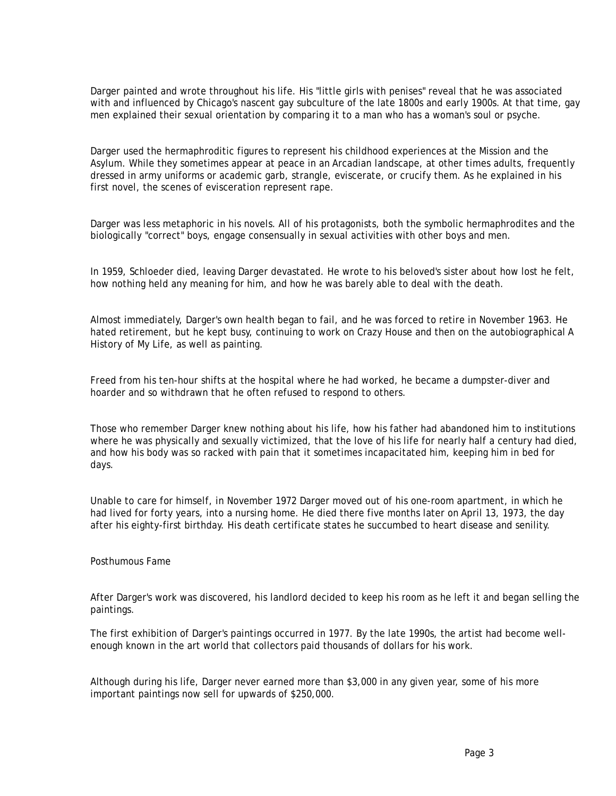Darger painted and wrote throughout his life. His "little girls with penises" reveal that he was associated with and influenced by Chicago's nascent gay subculture of the late 1800s and early 1900s. At that time, gay men explained their sexual orientation by comparing it to a man who has a woman's soul or psyche.

Darger used the hermaphroditic figures to represent his childhood experiences at the Mission and the Asylum. While they sometimes appear at peace in an Arcadian landscape, at other times adults, frequently dressed in army uniforms or academic garb, strangle, eviscerate, or crucify them. As he explained in his first novel, the scenes of evisceration represent rape.

Darger was less metaphoric in his novels. All of his protagonists, both the symbolic hermaphrodites and the biologically "correct" boys, engage consensually in sexual activities with other boys and men.

In 1959, Schloeder died, leaving Darger devastated. He wrote to his beloved's sister about how lost he felt, how nothing held any meaning for him, and how he was barely able to deal with the death.

Almost immediately, Darger's own health began to fail, and he was forced to retire in November 1963. He hated retirement, but he kept busy, continuing to work on Crazy House and then on the autobiographical A History of My Life, as well as painting.

Freed from his ten-hour shifts at the hospital where he had worked, he became a dumpster-diver and hoarder and so withdrawn that he often refused to respond to others.

Those who remember Darger knew nothing about his life, how his father had abandoned him to institutions where he was physically and sexually victimized, that the love of his life for nearly half a century had died, and how his body was so racked with pain that it sometimes incapacitated him, keeping him in bed for days.

Unable to care for himself, in November 1972 Darger moved out of his one-room apartment, in which he had lived for forty years, into a nursing home. He died there five months later on April 13, 1973, the day after his eighty-first birthday. His death certificate states he succumbed to heart disease and senility.

## Posthumous Fame

After Darger's work was discovered, his landlord decided to keep his room as he left it and began selling the paintings.

The first exhibition of Darger's paintings occurred in 1977. By the late 1990s, the artist had become wellenough known in the art world that collectors paid thousands of dollars for his work.

Although during his life, Darger never earned more than \$3,000 in any given year, some of his more important paintings now sell for upwards of \$250,000.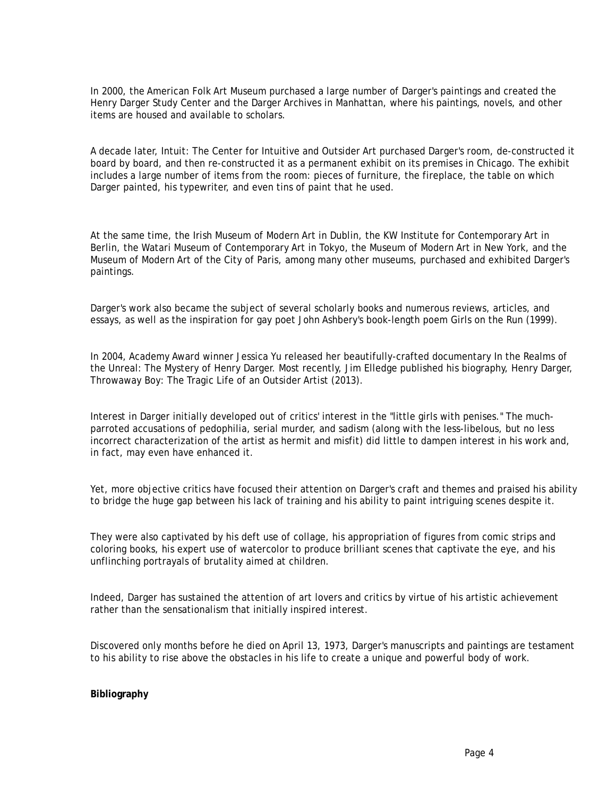In 2000, the American Folk Art Museum purchased a large number of Darger's paintings and created the Henry Darger Study Center and the Darger Archives in Manhattan, where his paintings, novels, and other items are housed and available to scholars.

A decade later, Intuit: The Center for Intuitive and Outsider Art purchased Darger's room, de-constructed it board by board, and then re-constructed it as a permanent exhibit on its premises in Chicago. The exhibit includes a large number of items from the room: pieces of furniture, the fireplace, the table on which Darger painted, his typewriter, and even tins of paint that he used.

At the same time, the Irish Museum of Modern Art in Dublin, the KW Institute for Contemporary Art in Berlin, the Watari Museum of Contemporary Art in Tokyo, the Museum of Modern Art in New York, and the Museum of Modern Art of the City of Paris, among many other museums, purchased and exhibited Darger's paintings.

Darger's work also became the subject of several scholarly books and numerous reviews, articles, and essays, as well as the inspiration for gay poet John Ashbery's book-length poem Girls on the Run (1999).

In 2004, Academy Award winner Jessica Yu released her beautifully-crafted documentary In the Realms of the Unreal: The Mystery of Henry Darger. Most recently, Jim Elledge published his biography, Henry Darger, Throwaway Boy: The Tragic Life of an Outsider Artist (2013).

Interest in Darger initially developed out of critics' interest in the "little girls with penises." The muchparroted accusations of pedophilia, serial murder, and sadism (along with the less-libelous, but no less incorrect characterization of the artist as hermit and misfit) did little to dampen interest in his work and, in fact, may even have enhanced it.

Yet, more objective critics have focused their attention on Darger's craft and themes and praised his ability to bridge the huge gap between his lack of training and his ability to paint intriguing scenes despite it.

They were also captivated by his deft use of collage, his appropriation of figures from comic strips and coloring books, his expert use of watercolor to produce brilliant scenes that captivate the eye, and his unflinching portrayals of brutality aimed at children.

Indeed, Darger has sustained the attention of art lovers and critics by virtue of his artistic achievement rather than the sensationalism that initially inspired interest.

Discovered only months before he died on April 13, 1973, Darger's manuscripts and paintings are testament to his ability to rise above the obstacles in his life to create a unique and powerful body of work.

## **Bibliography**